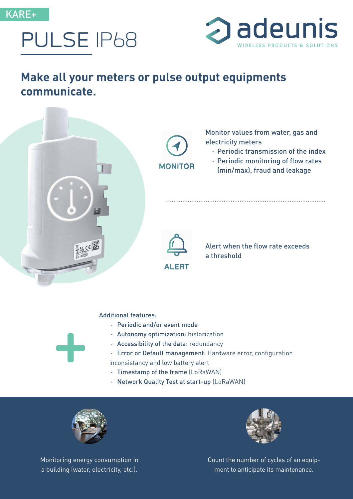





## **Make all your meters or pulse output equipments communicate.**



## Additional features:

- · Periodic and/or event mode
- · Autonomy optimization: historization
- · Accessibility of the data: redundancy
- · Error or Default management: Hardware error, configuration

inconsistancy and low battery alert

- · Timestamp of the frame (LoRaWAN)
- · Network Quality Test at start-up (LoRaWAN)



**+**

Monitoring energy consumption in a building (water, electricity, etc.).



Count the number of cycles of an equipment to anticipate its maintenance.